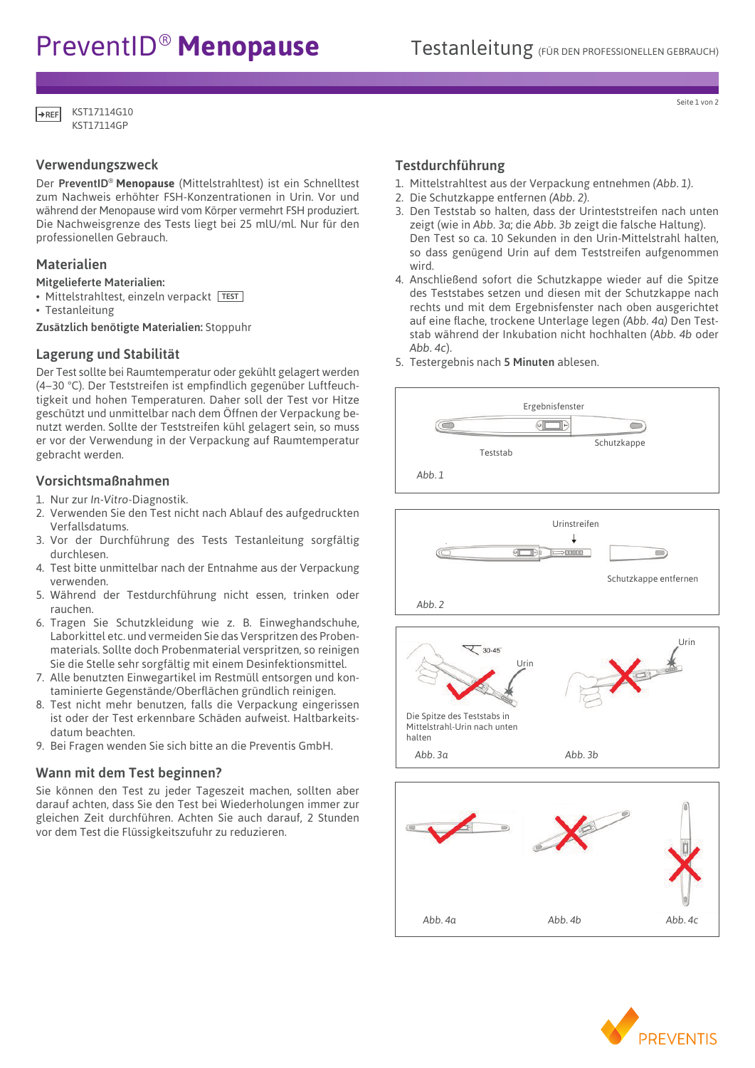# PreventID<sup>®</sup> Menopause Testanleitung (FÜR DEN PROFESSIONELLEN GEBRAUCH)

gland and gonadal disorders. The test sensitivity is 25 mIU/ml FSH.

KST17114G10 KST17114GP **REF**

# Verwendungszweck

Der PreventID® **Menopause** (Mittelstrahltest) ist ein Schnelltest zum Nachweis erhöhter FSH-Konzentrationen in Urin. Vor und während der Menopause wird vom Körper vermehrt FSH produziert. Die Nachweisgrenze des Tests liegt bei 25 mlU/ml. Nur für den professionellen Gebrauch.

# Materialien

- Mitgelieferte Materialien:
- Mittelstrahltest, einzeln verpackt TEST
- Testanleitung

Zusätzlich benötigte Materialien: Stoppuhr

# Lagerung und Stabilität

Der Test sollte bei Raumtemperatur oder gekühlt gelagert werden (4–30 °C). Der Teststreifen ist empfindlich gegenüber Luftfeuchtigkeit und hohen Temperaturen. Daher soll der Test vor Hitze geschützt und unmittelbar nach dem Öffnen der Verpackung benutzt werden. Sollte der Teststreifen kühl gelagert sein, so muss er vor der Verwendung in der Verpackung auf Raumtemperatur gebracht werden.

# Vorsichtsmaßnahmen

- 1. Nur zur *In-Vitro*-Diagnostik.
- 2. Verwenden Sie den Test nicht nach Ablauf des aufgedruckten Tammulating hormone test system intended to the Verfallsdatums. measure follows for the stimulation  $\mathbb{R}^n$  in urine. For the urine. For the urine. For the urine. For the urine.
- 3. Vor der Durchführung des Tests Testanleitung sorgfältig and the step and the diagnosis and treatment of pitu durchlesen. **Midstream Test stick**  $\overline{\text{C}}$  and  $\overline{\text{C}}$  is 25 mIU/ml FSH. The test sensitivity is 25 mIU/ml FSH. The test sensitivity is 25 mIU/ml FSH. The test sensitivity is 25 mIU/ml FSH. The test sensitivity is 25 mIU/ml FSH. The test sensitivity
- aurentesen.<br>4. Test bitte unmittelbar nach der Entnahme aus der Verpackung verwenden.
- verwenden.<br>5. Während der Testdurchführung nicht essen, trinken oder wannend der Testaare<br>rauchen. nicht essen, trinken oder in do not open the following and formulation of the following and formulation  $\Delta$
- rauchen.<br>6. Tragen Sie Schutzkleidung wie z. B. Einweghandschuhe, americanischer system is a device intended to perform Tragen die den untzweidung wie z. B. Entwegnandsenune,<br>Laborkittel etc. und vermeiden Sie das Verspritzen des Probenmaterials. Sollte doch Probenmaterial verspritzen, so reinigen  $\leq$  30-45 Sie die Stelle sehr sorgfältig mit einem Desinfektionsmittel. aborkittel etc. und vermeiden Sie das Verspritzen des Proben-<u>r</u>. B. Einwegnandschu
- 7. Alle benutzten Einwegartikel im Restmüll entsorgen und kon-4. Test can be used any time of day. **One Step FSH How The Test Works** taminierte Gegenstände/Oberflächen gründlich reinigen.
- entimierte eigenstande, soernachen grandten reimgen:<br>8. Test. nicht mehr benutzen, falls die Verpackung eingerissen ist oder der Test erkennbare Schäden aufweist. Haltbarkeits- Plie Spitze datum beachten.<br>2. Do not use the test after the expiration date printed on the expiration date printed on the expiration date gland and gonadal disorders. The test sensitivity is 25 mIU/ml FSH mittels training in the test sensitivity is 25 mIU/ml FSH. The test sensitivity is 25 mIU/ml FSH. The test sensitivity is 25 mIU/ml FSH. The test sensitivi
	- 9. Bei Fragen wenden Sie sich bitte an die Preventis GmbH. 3. Store at room temperature 4-300 complete 4-300 complete 4-430 complete 4-300 complete 4-300 complete 4-300 complete 4-300 complete 4-300 complete 4-300 complete 4-300 complete 4-300 complete 4-300 complete 4-300 complet 9. Bei Fragen wenden Sie sich bitte an die Preventis GmbH.  $\frac{1}{4}$ hb 3g shows the water we have the wrong angles of the urine the urine the urine the urine the urine of the urine the u<br>Abb. 3a  $A$  following the station is a decomposite intended test system is a decomposite intended to  $A$ ..<br>Ien Sie sich hitte an die

#### Wann mit dem Test beginnen?  $\frac{1}{4}$ . The used restricts of day.  $M<sub>2</sub>nn mit dom Toct hoqinnon<sup>2</sup>$ measurements are used in the diagnosis and the diagnosis and the diagnosis and the pitcher of pitcher of pitch **Best** beginnen?

Sie können den Test zu jeder Tageszeit machen, sollten aber darauf achten, dass Sie den Test bei Wiederholungen immer zur darauf achten, dass sie den Test bei Wiederhödungen ihnner zur<br>gleichen Zeit durchführen. Achten Sie auch darauf, 2 Stunden vor dem Test die Flüssigkeitszufuhr zu reduzieren. You may do this test at any time of the day, but you should gleichen Zeit durchführen. Achten  $1.$  Read this entire parameter  $\alpha$ freeze.

# **Testdurchführung**

For professional use only.

For professional use only.

- 1. Mittelstrahltest aus der Verpackung entnehmen *(Abb. 1).*<br>1. Mittelstrahltest aus der Verpackung entnehmen *(Abb.* 1*)*. ittelstra<br>C  $\sim$  store at room temperature 4-30o $\sim$  4-30o $\sim$  4-30o $\sim$  4-86oF). Do not at  $\sim$  4000  $\sim$  4000  $\sim$ telstral<br>--
- 2. Die Schutzkappe entfernen *(Abb. 2)*.
- 3. Den Teststab so halten, dass der Urinteststreifen nach unten 5. Select a well-lighted room with a clean, flat surface for 5. Select a well-lighted room with a clean, flat surface for zeigt (wie in Abb. 3a; die Abb. 3b zeigt die falsche Haltung). Den Test so ca. 10 Sekunden in den Urin-Mittelstrahl halten, so dass genügend Urin auf dem Teststreifen aufgenommen wird.  $W$  may do the day of the day,  $\frac{1}{2}$  and  $\frac{1}{2}$  and  $\frac{1}{2}$  and  $\frac{1}{2}$  and  $\frac{1}{2}$  and  $\frac{1}{2}$  and  $\frac{1}{2}$  and  $\frac{1}{2}$  and  $\frac{1}{2}$  and  $\frac{1}{2}$  and  $\frac{1}{2}$  and  $\frac{1}{2}$  and  $\frac{1}{2}$  and  $\frac{1}{2}$ You may do this test at any time of the day, but you should
- 4. Anschließend sofort die Schutzkappe wieder auf die Spitze des Teststabes setzen und diesen mit der Schutzkappe nach rechts und mit dem Ergebnisfenster nach oben ausgerichtet auf eine flache, trockene Unterlage legen *(Abb. 4a)* Den Test-**Test Procedure Test Procedure** stab während der Inkubation nicht hochhalten (*Abb. 4b* oder **Instructions** *Abb. 4c*).  $160$  walleng act inhabation ment noematten  $(760)$ . **Instruction**<br>Instructions  $1.06$  and walleting definition the formation  $(7.66)$ . The  $16$
- 5. Testergebnis nach 5 Minuten ablesen.











Seite 1 von 2